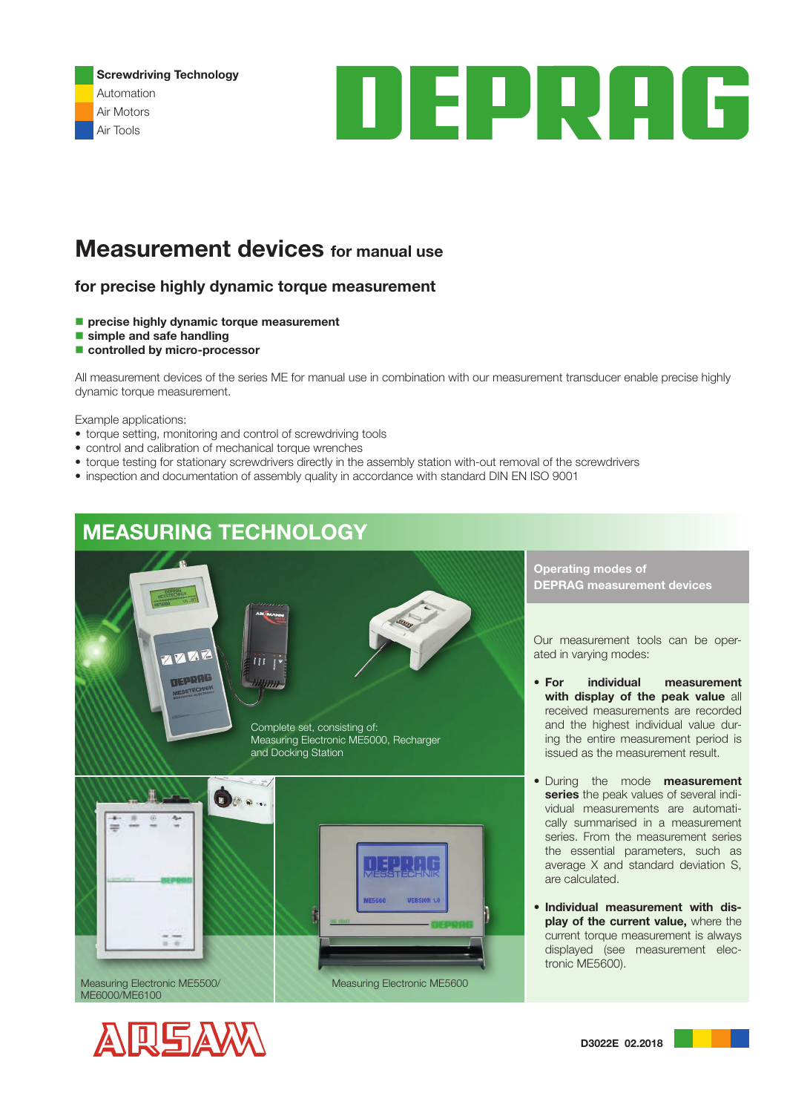Screwdriving Technology Automation Air Motors Air Tools



# **Measurement devices** for manual use

### for precise highly dynamic torque measurement

- precise highly dynamic torque measurement
- simple and safe handling
- controlled by micro-processor

All measurement devices of the series ME for manual use in combination with our measurement transducer enable precise highly dynamic torque measurement.

Example applications:

- torque setting, monitoring and control of screwdriving tools
- control and calibration of mechanical torque wrenches
- torque testing for stationary screwdrivers directly in the assembly station with-out removal of the screwdrivers
- inspection and documentation of assembly quality in accordance with standard DIN EN ISO 9001

## MEASURING TECHNOLOGY



Complete set, consisting of: Measuring Electronic ME5000, Recharger and Docking Station



Operating modes of DEPRAG measurement devices

Our measurement tools can be operated in varying modes:

- For individual measurement with display of the peak value all received measurements are recorded and the highest individual value during the entire measurement period is issued as the measurement result.
- During the mode measurement series the peak values of several individual measurements are automatically summarised in a measurement series. From the measurement series the essential parameters, such as average X and standard deviation S, are calculated.
- Individual measurement with display of the current value, where the current torque measurement is always displayed (see measurement electronic ME5600).



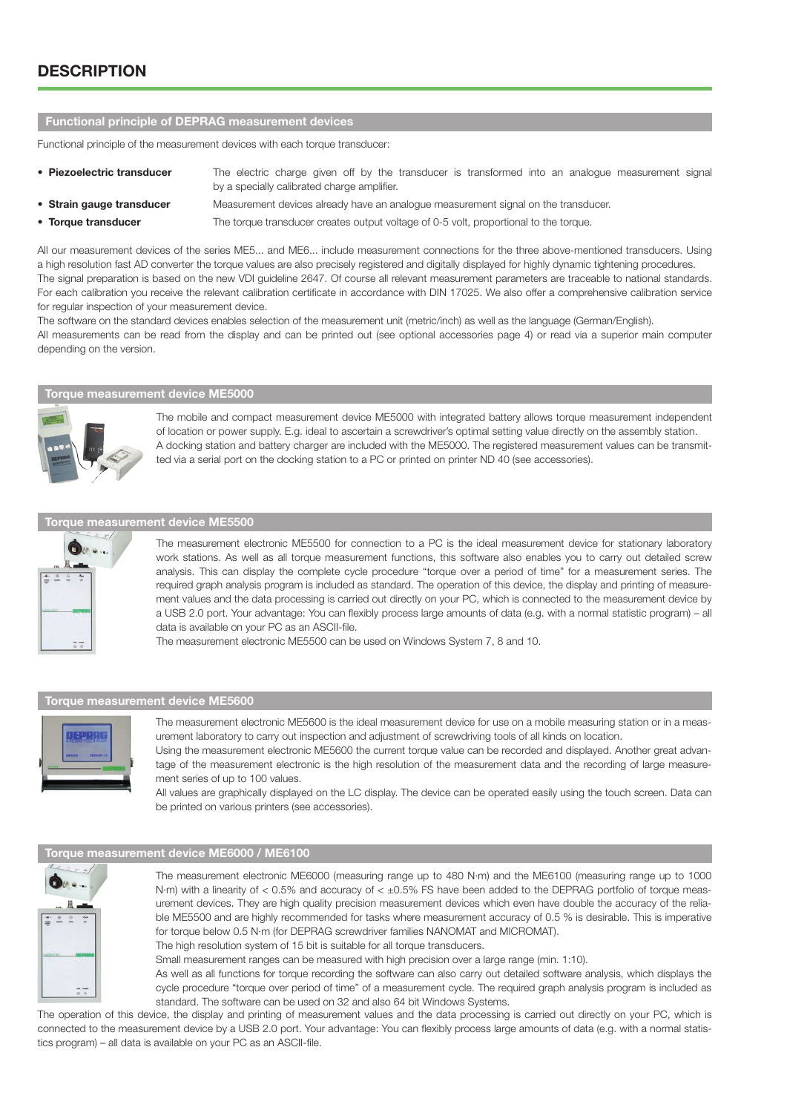## **DESCRIPTION**

#### Functional principle of DEPRAG measurement devices

Functional principle of the measurement devices with each torque transducer:

- Piezoelectric transducer The electric charge given off by the transducer is transformed into an analogue measurement signal by a specially calibrated charge amplifier.
- Strain gauge transducer Measurement devices already have an analogue measurement signal on the transducer.
- 

• Torque transducer The torque transducer creates output voltage of 0-5 volt, proportional to the torque.

All our measurement devices of the series ME5... and ME6... include measurement connections for the three above-mentioned transducers. Using a high resolution fast AD converter the torque values are also precisely registered and digitally displayed for highly dynamic tightening procedures. The signal preparation is based on the new VDI guideline 2647. Of course all relevant measurement parameters are traceable to national standards. For each calibration you receive the relevant calibration certificate in accordance with DIN 17025. We also offer a comprehensive calibration service for regular inspection of your measurement device.

The software on the standard devices enables selection of the measurement unit (metric/inch) as well as the language (German/English). All measurements can be read from the display and can be printed out (see optional accessories page 4) or read via a superior main computer depending on the version.

## Torque measurement device ME5000



The mobile and compact measurement device ME5000 with integrated battery allows torque measurement independent of location or power supply. E.g. ideal to ascertain a screwdriver's optimal setting value directly on the assembly station. A docking station and battery charger are included with the ME5000. The registered measurement values can be transmitted via a serial port on the docking station to a PC or printed on printer ND 40 (see accessories).

#### Torque measurement device ME5500



The measurement electronic ME5500 for connection to a PC is the ideal measurement device for stationary laboratory work stations. As well as all torque measurement functions, this software also enables you to carry out detailed screw analysis. This can display the complete cycle procedure "torque over a period of time" for a measurement series. The required graph analysis program is included as standard. The operation of this device, the display and printing of measurement values and the data processing is carried out directly on your PC, which is connected to the measurement device by a USB 2.0 port. Your advantage: You can flexibly process large amounts of data (e.g. with a normal statistic program) – all data is available on your PC as an ASCII-file.

The measurement electronic ME5500 can be used on Windows System 7, 8 and 10.

#### Torque measurement device ME5600



The measurement electronic ME5600 is the ideal measurement device for use on a mobile measuring station or in a measurement laboratory to carry out inspection and adjustment of screwdriving tools of all kinds on location.

Using the measurement electronic ME5600 the current torque value can be recorded and displayed. Another great advantage of the measurement electronic is the high resolution of the measurement data and the recording of large measurement series of up to 100 values.

All values are graphically displayed on the LC display. The device can be operated easily using the touch screen. Data can be printed on various printers (see accessories).

### Torque measurement device ME6000 / ME6100



The measurement electronic ME6000 (measuring range up to 480 N·m) and the ME6100 (measuring range up to 1000 N·m) with a linearity of  $<$  0.5% and accuracy of  $<$   $\pm$ 0.5% FS have been added to the DEPRAG portfolio of torque measurement devices. They are high quality precision measurement devices which even have double the accuracy of the reliable ME5500 and are highly recommended for tasks where measurement accuracy of 0.5 % is desirable. This is imperative for torque below 0.5 N·m (for DEPRAG screwdriver families NANOMAT and MICROMAT). The high resolution system of 15 bit is suitable for all torque transducers.

Small measurement ranges can be measured with high precision over a large range (min. 1:10).

As well as all functions for torque recording the software can also carry out detailed software analysis, which displays the cycle procedure "torque over period of time" of a measurement cycle. The required graph analysis program is included as standard. The software can be used on 32 and also 64 bit Windows Systems.

The operation of this device, the display and printing of measurement values and the data processing is carried out directly on your PC, which is connected to the measurement device by a USB 2.0 port. Your advantage: You can flexibly process large amounts of data (e.g. with a normal statistics program) – all data is available on your PC as an ASCII-file.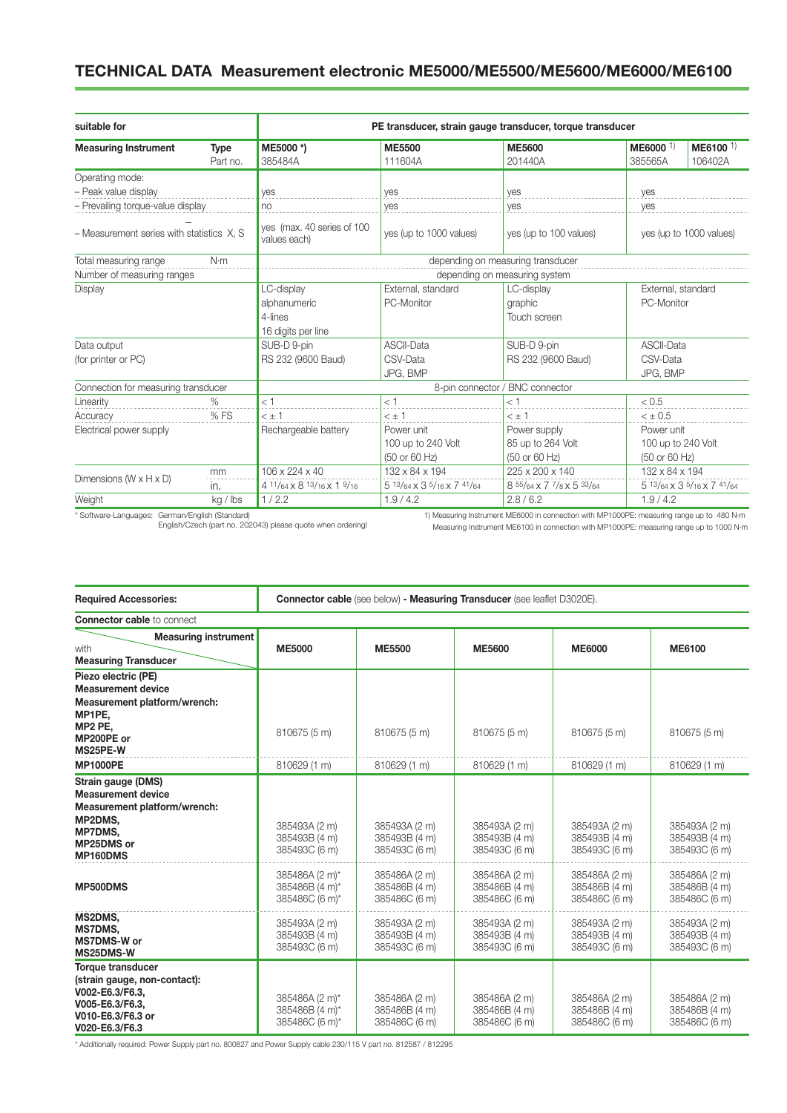## TECHNICAL DATA Measurement electronic ME5000/ME5500/ME5600/ME6000/ME6100

| suitable for                              |                                         | PE transducer, strain gauge transducer, torque transducer |                            |                           |                                   |                                 |  |  |  |
|-------------------------------------------|-----------------------------------------|-----------------------------------------------------------|----------------------------|---------------------------|-----------------------------------|---------------------------------|--|--|--|
| <b>Measuring Instrument</b>               | <b>Type</b><br>Part no.                 | ME5000 *)<br>385484A                                      | <b>ME5500</b><br>111604A   | <b>ME5600</b><br>201440A  | $ME6000$ <sup>1)</sup><br>385565A | ME6100 <sup>1)</sup><br>106402A |  |  |  |
| Operating mode:                           |                                         |                                                           |                            |                           |                                   |                                 |  |  |  |
| - Peak value display                      |                                         | ves                                                       | ves                        | ves                       | yes                               |                                 |  |  |  |
| - Prevailing torque-value display         |                                         | no                                                        | yes                        | yes                       | yes                               |                                 |  |  |  |
| - Measurement series with statistics X, S |                                         | ves (max. 40 series of 100<br>values each)                | yes (up to 1000 values)    | yes (up to 100 values)    | yes (up to 1000 values)           |                                 |  |  |  |
| Total measuring range<br>N·m              |                                         | depending on measuring transducer                         |                            |                           |                                   |                                 |  |  |  |
|                                           |                                         | depending on measuring system                             |                            |                           |                                   |                                 |  |  |  |
| Number of measuring ranges<br>Display     |                                         | LC-display                                                | External, standard         | LC-display                | External, standard                |                                 |  |  |  |
|                                           |                                         | alphanumeric                                              | PC-Monitor                 | graphic                   | PC-Monitor                        |                                 |  |  |  |
|                                           |                                         | 4-lines                                                   |                            | Touch screen              |                                   |                                 |  |  |  |
|                                           |                                         | 16 digits per line                                        |                            |                           |                                   |                                 |  |  |  |
| Data output                               |                                         | SUB-D 9-pin                                               | <b>ASCII-Data</b>          | SUB-D 9-pin               | <b>ASCII-Data</b>                 |                                 |  |  |  |
| (for printer or PC)                       |                                         | RS 232 (9600 Baud)                                        | CSV-Data                   | RS 232 (9600 Baud)        | CSV-Data                          |                                 |  |  |  |
|                                           |                                         |                                                           | JPG, BMP                   |                           | JPG, BMP                          |                                 |  |  |  |
| Connection for measuring transducer       |                                         | 8-pin connector / BNC connector                           |                            |                           |                                   |                                 |  |  |  |
| Linearity                                 | $\%$                                    | < 1                                                       | < 1                        | < 1                       | < 0.5                             |                                 |  |  |  |
| Accuracy                                  | %FS                                     | $<$ $\pm$ 1                                               | $<$ $\pm$ 1                | $<$ $\pm$ 1               | $< \pm 0.5$                       |                                 |  |  |  |
| Electrical power supply                   |                                         | Rechargeable battery                                      | Power unit                 | Power supply              | Power unit                        |                                 |  |  |  |
|                                           | 85 up to 264 Volt<br>100 up to 240 Volt |                                                           |                            | 100 up to 240 Volt        |                                   |                                 |  |  |  |
|                                           |                                         |                                                           | (50 or 60 Hz)              | (50 or 60 Hz)             | (50 or 60 Hz)                     |                                 |  |  |  |
|                                           | mm                                      | 106 x 224 x 40                                            | 132 x 84 x 194             | 225 x 200 x 140           | 132 x 84 x 194                    |                                 |  |  |  |
| Dimensions $(W \times H \times D)$        | in.                                     | 4 11/64 x 8 13/16 x 1 9/16                                | 5 13/64 x 3 5/16 x 7 41/64 | 8 55/64 x 7 7/8 x 5 33/64 |                                   | 5 13/64 x 3 5/16 x 7 41/64      |  |  |  |
| Weight                                    | kg / lbs                                | 1/2.2                                                     | 1.9/4.2                    | 2.8/6.2                   | 1.9/4.2                           |                                 |  |  |  |

\* Software-Languages: German/English (Standard) English/Czech (part no. 202043) please quote when ordering!

1) Measuring Instrument ME6000 in connection with MP1000PE: measuring range up to 480 N·m Measuring Instrument ME6100 in connection with MP1000PE: measuring range up to 1000 N·m

| <b>Required Accessories:</b>                                                                                                          | <b>Connector cable (see below) - Measuring Transducer (see leaflet D3020E).</b> |                                                 |                                                 |                                                 |                                                 |  |  |
|---------------------------------------------------------------------------------------------------------------------------------------|---------------------------------------------------------------------------------|-------------------------------------------------|-------------------------------------------------|-------------------------------------------------|-------------------------------------------------|--|--|
| <b>Connector cable to connect</b>                                                                                                     |                                                                                 |                                                 |                                                 |                                                 |                                                 |  |  |
| <b>Measuring instrument</b><br>with<br><b>Measuring Transducer</b>                                                                    | <b>ME5000</b>                                                                   | <b>ME5500</b>                                   | <b>ME5600</b>                                   | <b>ME6000</b>                                   | <b>ME6100</b>                                   |  |  |
| Piezo electric (PE)<br><b>Measurement device</b><br>Measurement platform/wrench:<br>MP1PE.<br>MP2 PE.<br>MP200PE or<br>MS25PE-W       | 810675 (5 m)                                                                    | 810675 (5 m)                                    | 810675 (5 m)                                    | 810675 (5 m)                                    | 810675 (5 m)                                    |  |  |
| <b>MP1000PE</b>                                                                                                                       | 810629 (1 m)                                                                    | 810629 (1 m)                                    | 810629 (1 m)                                    | 810629 (1 m)                                    | 810629 (1 m)                                    |  |  |
| Strain gauge (DMS)<br><b>Measurement device</b><br>Measurement platform/wrench:<br>MP2DMS,<br>MP7DMS.<br>MP25DMS or<br>MP160DMS       | 385493A (2 m)<br>385493B (4 m)<br>385493C (6 m)                                 | 385493A (2 m)<br>385493B (4 m)<br>385493C (6 m) | 385493A (2 m)<br>385493B (4 m)<br>385493C (6 m) | 385493A (2 m)<br>385493B (4 m)<br>385493C (6 m) | 385493A (2 m)<br>385493B (4 m)<br>385493C (6 m) |  |  |
| MP500DMS                                                                                                                              | 385486A (2 m)*<br>385486B (4 m)*<br>385486C (6 m)*                              | 385486A (2 m)<br>385486B (4 m)<br>385486C (6 m) | 385486A (2 m)<br>385486B (4 m)<br>385486C (6 m) | 385486A (2 m)<br>385486B (4 m)<br>385486C (6 m) | 385486A (2 m)<br>385486B (4 m)<br>385486C (6 m) |  |  |
| MS2DMS,<br>MS7DMS,<br><b>MS7DMS-W or</b><br>MS25DMS-W                                                                                 | 385493A (2 m)<br>385493B (4 m)<br>385493C (6 m)                                 | 385493A (2 m)<br>385493B (4 m)<br>385493C (6 m) | 385493A (2 m)<br>385493B (4 m)<br>385493C (6 m) | 385493A (2 m)<br>385493B (4 m)<br>385493C (6 m) | 385493A (2 m)<br>385493B (4 m)<br>385493C (6 m) |  |  |
| <b>Torque transducer</b><br>(strain gauge, non-contact):<br>V002-E6.3/F6.3,<br>V005-E6.3/F6.3.<br>V010-E6.3/F6.3 or<br>V020-E6.3/F6.3 | 385486A (2 m)*<br>385486B (4 m)*<br>385486C (6 m)*                              | 385486A (2 m)<br>385486B (4 m)<br>385486C (6 m) | 385486A (2 m)<br>385486B (4 m)<br>385486C (6 m) | 385486A (2 m)<br>385486B (4 m)<br>385486C (6 m) | 385486A (2 m)<br>385486B (4 m)<br>385486C (6 m) |  |  |

\* Additionally required: Power Supply part no. 800827 and Power Supply cable 230/115 V part no. 812587 / 812295